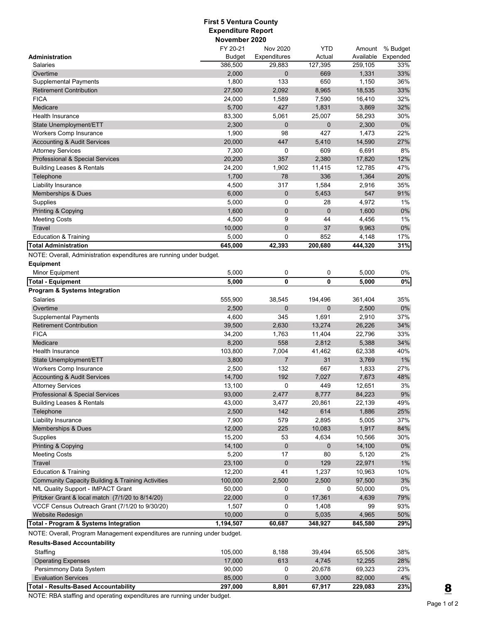## **First 5 Ventura County Expenditure Report November 2020**

| Expenditures<br><b>Budget</b><br>Actual<br>Expended<br>Administration<br>386,500<br>29,883<br>127,395<br>259,105<br>33%<br>Salaries<br>Overtime<br>2,000<br>0<br>669<br>1,331<br>33%<br>1,800<br>36%<br><b>Supplemental Payments</b><br>133<br>650<br>1,150<br>33%<br>27,500<br>2,092<br>8,965<br>18,535<br><b>Retirement Contribution</b><br><b>FICA</b><br>24,000<br>7,590<br>16,410<br>32%<br>1,589<br>Medicare<br>5,700<br>427<br>1,831<br>3,869<br>32%<br>83,300<br>5,061<br>25,007<br>30%<br>Health Insurance<br>58,293<br>$0\%$<br>2,300<br>0<br>$\mathbf 0$<br>2,300<br>State Unemployment/ETT<br>427<br>1,900<br>98<br>1,473<br>22%<br>Workers Comp Insurance<br>447<br>27%<br>20,000<br>5,410<br>14,590<br><b>Accounting &amp; Audit Services</b><br>8%<br>7,300<br>0<br>609<br>6,691<br><b>Attorney Services</b><br>20,200<br>357<br>2,380<br>17,820<br>12%<br>Professional & Special Services<br>24,200<br>1,902<br>11,415<br>12,785<br>47%<br><b>Building Leases &amp; Rentals</b><br>1,700<br>78<br>336<br>1,364<br>20%<br>Telephone<br>4,500<br>35%<br>Liability Insurance<br>317<br>1,584<br>2,916<br>547<br>91%<br><b>Memberships &amp; Dues</b><br>6,000<br>0<br>5,453<br>4,972<br>1%<br>Supplies<br>5,000<br>0<br>28<br>$0\%$<br>1,600<br>0<br>$\mathbf 0$<br>1,600<br><b>Printing &amp; Copying</b><br>4,500<br>44<br>1%<br><b>Meeting Costs</b><br>9<br>4,456<br>0<br>Travel<br>10,000<br>37<br>9,963<br>0%<br>852<br><b>Education &amp; Training</b><br>5,000<br>0<br>4,148<br>17%<br>31%<br><b>Total Administration</b><br>645,000<br>42,393<br>200,680<br>444,320<br>NOTE: Overall, Administration expenditures are running under budget.<br><b>Equipment</b><br>5,000<br>0<br>5,000<br>0%<br>Minor Equipment<br>0<br>$\mathbf 0$<br>$\mathbf 0$<br>$0\%$<br>5,000<br>5,000<br><b>Total - Equipment</b><br><b>Program &amp; Systems Integration</b><br>Salaries<br>555,900<br>38,545<br>194,496<br>361,404<br>35%<br>2,500<br>0<br>$\mathbf 0$<br>2,500<br>0%<br>Overtime<br>37%<br><b>Supplemental Payments</b><br>4,600<br>345<br>1,691<br>2,910<br><b>Retirement Contribution</b><br>39,500<br>2,630<br>13,274<br>26,226<br>34%<br><b>FICA</b><br>34,200<br>1,763<br>11,404<br>22,796<br>33%<br>558<br>Medicare<br>8,200<br>2,812<br>5,388<br>34%<br>40%<br>103,800<br>7,004<br>41,462<br>62,338<br>Health Insurance<br>3,800<br>7<br>31<br>3,769<br>$1\%$<br>State Unemployment/ETT<br>132<br>Workers Comp Insurance<br>2,500<br>667<br>1,833<br>27%<br><b>Accounting &amp; Audit Services</b><br>14,700<br>192<br>7,027<br>7,673<br>48%<br>0<br>449<br>12,651<br>3%<br><b>Attorney Services</b><br>13,100<br>9%<br>2,477<br>8,777<br>84.223<br><b>Professional &amp; Special Services</b><br>93,000<br><b>Building Leases &amp; Rentals</b><br>43,000<br>3,477<br>20,861<br>22,139<br>49%<br>2,500<br>1,886<br>Telephone<br>142<br>614<br>25%<br>Liability Insurance<br>7,900<br>579<br>2,895<br>5,005<br>37%<br><b>Memberships &amp; Dues</b><br>12,000<br>225<br>10,083<br>1,917<br>84%<br>15,200<br>53<br>4,634<br>10,566<br>30%<br>Supplies<br>0<br>0%<br>Printing & Copying<br>14,100<br>14,100<br>$\mathbf 0$<br><b>Meeting Costs</b><br>5,200<br>80<br>2%<br>17<br>5,120<br>$1\%$<br>Travel<br>23,100<br>0<br>129<br>22,971<br>Education & Training<br>10%<br>12,200<br>41<br>1,237<br>10,963<br><b>Community Capacity Building &amp; Training Activities</b><br>3%<br>2,500<br>2,500<br>97,500<br>100,000<br>$0\%$<br>NfL Quality Support - IMPACT Grant<br>0<br>50,000<br>0<br>50,000<br>Pritzker Grant & local match (7/1/20 to 8/14/20)<br>22,000<br>0<br>17,361<br>4,639<br>79%<br>VCCF Census Outreach Grant (7/1/20 to 9/30/20)<br>1,507<br>0<br>93%<br>1,408<br>99<br>Website Redesign<br>10,000<br>0<br>5,035<br>50%<br>4,965<br>Total - Program & Systems Integration<br>1,194,507<br>60,687<br>348,927<br>845,580<br>29%<br>NOTE: Overall, Program Management expenditures are running under budget.<br><b>Results-Based Accountability</b><br>105,000<br>8,188<br>39,494<br>65,506<br>38%<br>Staffing<br><b>Operating Expenses</b><br>17,000<br>613<br>4,745<br>12,255<br>28%<br>Persimmony Data System<br>90,000<br>0<br>20,678<br>69,323<br>23%<br><b>Evaluation Services</b><br>85,000<br>3,000<br>82,000<br>4%<br>0<br>297,000<br>8,801<br>67,917 |                                             | FY 20-21 | Nov 2020 | <b>YTD</b> | Amount    | % Budget |
|-------------------------------------------------------------------------------------------------------------------------------------------------------------------------------------------------------------------------------------------------------------------------------------------------------------------------------------------------------------------------------------------------------------------------------------------------------------------------------------------------------------------------------------------------------------------------------------------------------------------------------------------------------------------------------------------------------------------------------------------------------------------------------------------------------------------------------------------------------------------------------------------------------------------------------------------------------------------------------------------------------------------------------------------------------------------------------------------------------------------------------------------------------------------------------------------------------------------------------------------------------------------------------------------------------------------------------------------------------------------------------------------------------------------------------------------------------------------------------------------------------------------------------------------------------------------------------------------------------------------------------------------------------------------------------------------------------------------------------------------------------------------------------------------------------------------------------------------------------------------------------------------------------------------------------------------------------------------------------------------------------------------------------------------------------------------------------------------------------------------------------------------------------------------------------------------------------------------------------------------------------------------------------------------------------------------------------------------------------------------------------------------------------------------------------------------------------------------------------------------------------------------------------------------------------------------------------------------------------------------------------------------------------------------------------------------------------------------------------------------------------------------------------------------------------------------------------------------------------------------------------------------------------------------------------------------------------------------------------------------------------------------------------------------------------------------------------------------------------------------------------------------------------------------------------------------------------------------------------------------------------------------------------------------------------------------------------------------------------------------------------------------------------------------------------------------------------------------------------------------------------------------------------------------------------------------------------------------------------------------------------------------------------------------------------------------------------------------------------------------------------------------------------------------------------------------------------------------------------------------------------------------------------------------------------------------------------------------------------------------------------------------------------------------------------------------------------------------------------------------------------------------------------------------------------------------------------------------------------------------------------------------------------------------------------|---------------------------------------------|----------|----------|------------|-----------|----------|
|                                                                                                                                                                                                                                                                                                                                                                                                                                                                                                                                                                                                                                                                                                                                                                                                                                                                                                                                                                                                                                                                                                                                                                                                                                                                                                                                                                                                                                                                                                                                                                                                                                                                                                                                                                                                                                                                                                                                                                                                                                                                                                                                                                                                                                                                                                                                                                                                                                                                                                                                                                                                                                                                                                                                                                                                                                                                                                                                                                                                                                                                                                                                                                                                                                                                                                                                                                                                                                                                                                                                                                                                                                                                                                                                                                                                                                                                                                                                                                                                                                                                                                                                                                                                                                                                                                       |                                             |          |          |            | Available |          |
|                                                                                                                                                                                                                                                                                                                                                                                                                                                                                                                                                                                                                                                                                                                                                                                                                                                                                                                                                                                                                                                                                                                                                                                                                                                                                                                                                                                                                                                                                                                                                                                                                                                                                                                                                                                                                                                                                                                                                                                                                                                                                                                                                                                                                                                                                                                                                                                                                                                                                                                                                                                                                                                                                                                                                                                                                                                                                                                                                                                                                                                                                                                                                                                                                                                                                                                                                                                                                                                                                                                                                                                                                                                                                                                                                                                                                                                                                                                                                                                                                                                                                                                                                                                                                                                                                                       |                                             |          |          |            |           |          |
|                                                                                                                                                                                                                                                                                                                                                                                                                                                                                                                                                                                                                                                                                                                                                                                                                                                                                                                                                                                                                                                                                                                                                                                                                                                                                                                                                                                                                                                                                                                                                                                                                                                                                                                                                                                                                                                                                                                                                                                                                                                                                                                                                                                                                                                                                                                                                                                                                                                                                                                                                                                                                                                                                                                                                                                                                                                                                                                                                                                                                                                                                                                                                                                                                                                                                                                                                                                                                                                                                                                                                                                                                                                                                                                                                                                                                                                                                                                                                                                                                                                                                                                                                                                                                                                                                                       |                                             |          |          |            |           |          |
|                                                                                                                                                                                                                                                                                                                                                                                                                                                                                                                                                                                                                                                                                                                                                                                                                                                                                                                                                                                                                                                                                                                                                                                                                                                                                                                                                                                                                                                                                                                                                                                                                                                                                                                                                                                                                                                                                                                                                                                                                                                                                                                                                                                                                                                                                                                                                                                                                                                                                                                                                                                                                                                                                                                                                                                                                                                                                                                                                                                                                                                                                                                                                                                                                                                                                                                                                                                                                                                                                                                                                                                                                                                                                                                                                                                                                                                                                                                                                                                                                                                                                                                                                                                                                                                                                                       |                                             |          |          |            |           |          |
|                                                                                                                                                                                                                                                                                                                                                                                                                                                                                                                                                                                                                                                                                                                                                                                                                                                                                                                                                                                                                                                                                                                                                                                                                                                                                                                                                                                                                                                                                                                                                                                                                                                                                                                                                                                                                                                                                                                                                                                                                                                                                                                                                                                                                                                                                                                                                                                                                                                                                                                                                                                                                                                                                                                                                                                                                                                                                                                                                                                                                                                                                                                                                                                                                                                                                                                                                                                                                                                                                                                                                                                                                                                                                                                                                                                                                                                                                                                                                                                                                                                                                                                                                                                                                                                                                                       |                                             |          |          |            |           |          |
|                                                                                                                                                                                                                                                                                                                                                                                                                                                                                                                                                                                                                                                                                                                                                                                                                                                                                                                                                                                                                                                                                                                                                                                                                                                                                                                                                                                                                                                                                                                                                                                                                                                                                                                                                                                                                                                                                                                                                                                                                                                                                                                                                                                                                                                                                                                                                                                                                                                                                                                                                                                                                                                                                                                                                                                                                                                                                                                                                                                                                                                                                                                                                                                                                                                                                                                                                                                                                                                                                                                                                                                                                                                                                                                                                                                                                                                                                                                                                                                                                                                                                                                                                                                                                                                                                                       |                                             |          |          |            |           |          |
|                                                                                                                                                                                                                                                                                                                                                                                                                                                                                                                                                                                                                                                                                                                                                                                                                                                                                                                                                                                                                                                                                                                                                                                                                                                                                                                                                                                                                                                                                                                                                                                                                                                                                                                                                                                                                                                                                                                                                                                                                                                                                                                                                                                                                                                                                                                                                                                                                                                                                                                                                                                                                                                                                                                                                                                                                                                                                                                                                                                                                                                                                                                                                                                                                                                                                                                                                                                                                                                                                                                                                                                                                                                                                                                                                                                                                                                                                                                                                                                                                                                                                                                                                                                                                                                                                                       |                                             |          |          |            |           |          |
|                                                                                                                                                                                                                                                                                                                                                                                                                                                                                                                                                                                                                                                                                                                                                                                                                                                                                                                                                                                                                                                                                                                                                                                                                                                                                                                                                                                                                                                                                                                                                                                                                                                                                                                                                                                                                                                                                                                                                                                                                                                                                                                                                                                                                                                                                                                                                                                                                                                                                                                                                                                                                                                                                                                                                                                                                                                                                                                                                                                                                                                                                                                                                                                                                                                                                                                                                                                                                                                                                                                                                                                                                                                                                                                                                                                                                                                                                                                                                                                                                                                                                                                                                                                                                                                                                                       |                                             |          |          |            |           |          |
|                                                                                                                                                                                                                                                                                                                                                                                                                                                                                                                                                                                                                                                                                                                                                                                                                                                                                                                                                                                                                                                                                                                                                                                                                                                                                                                                                                                                                                                                                                                                                                                                                                                                                                                                                                                                                                                                                                                                                                                                                                                                                                                                                                                                                                                                                                                                                                                                                                                                                                                                                                                                                                                                                                                                                                                                                                                                                                                                                                                                                                                                                                                                                                                                                                                                                                                                                                                                                                                                                                                                                                                                                                                                                                                                                                                                                                                                                                                                                                                                                                                                                                                                                                                                                                                                                                       |                                             |          |          |            |           |          |
|                                                                                                                                                                                                                                                                                                                                                                                                                                                                                                                                                                                                                                                                                                                                                                                                                                                                                                                                                                                                                                                                                                                                                                                                                                                                                                                                                                                                                                                                                                                                                                                                                                                                                                                                                                                                                                                                                                                                                                                                                                                                                                                                                                                                                                                                                                                                                                                                                                                                                                                                                                                                                                                                                                                                                                                                                                                                                                                                                                                                                                                                                                                                                                                                                                                                                                                                                                                                                                                                                                                                                                                                                                                                                                                                                                                                                                                                                                                                                                                                                                                                                                                                                                                                                                                                                                       |                                             |          |          |            |           |          |
|                                                                                                                                                                                                                                                                                                                                                                                                                                                                                                                                                                                                                                                                                                                                                                                                                                                                                                                                                                                                                                                                                                                                                                                                                                                                                                                                                                                                                                                                                                                                                                                                                                                                                                                                                                                                                                                                                                                                                                                                                                                                                                                                                                                                                                                                                                                                                                                                                                                                                                                                                                                                                                                                                                                                                                                                                                                                                                                                                                                                                                                                                                                                                                                                                                                                                                                                                                                                                                                                                                                                                                                                                                                                                                                                                                                                                                                                                                                                                                                                                                                                                                                                                                                                                                                                                                       |                                             |          |          |            |           |          |
|                                                                                                                                                                                                                                                                                                                                                                                                                                                                                                                                                                                                                                                                                                                                                                                                                                                                                                                                                                                                                                                                                                                                                                                                                                                                                                                                                                                                                                                                                                                                                                                                                                                                                                                                                                                                                                                                                                                                                                                                                                                                                                                                                                                                                                                                                                                                                                                                                                                                                                                                                                                                                                                                                                                                                                                                                                                                                                                                                                                                                                                                                                                                                                                                                                                                                                                                                                                                                                                                                                                                                                                                                                                                                                                                                                                                                                                                                                                                                                                                                                                                                                                                                                                                                                                                                                       |                                             |          |          |            |           |          |
|                                                                                                                                                                                                                                                                                                                                                                                                                                                                                                                                                                                                                                                                                                                                                                                                                                                                                                                                                                                                                                                                                                                                                                                                                                                                                                                                                                                                                                                                                                                                                                                                                                                                                                                                                                                                                                                                                                                                                                                                                                                                                                                                                                                                                                                                                                                                                                                                                                                                                                                                                                                                                                                                                                                                                                                                                                                                                                                                                                                                                                                                                                                                                                                                                                                                                                                                                                                                                                                                                                                                                                                                                                                                                                                                                                                                                                                                                                                                                                                                                                                                                                                                                                                                                                                                                                       |                                             |          |          |            |           |          |
|                                                                                                                                                                                                                                                                                                                                                                                                                                                                                                                                                                                                                                                                                                                                                                                                                                                                                                                                                                                                                                                                                                                                                                                                                                                                                                                                                                                                                                                                                                                                                                                                                                                                                                                                                                                                                                                                                                                                                                                                                                                                                                                                                                                                                                                                                                                                                                                                                                                                                                                                                                                                                                                                                                                                                                                                                                                                                                                                                                                                                                                                                                                                                                                                                                                                                                                                                                                                                                                                                                                                                                                                                                                                                                                                                                                                                                                                                                                                                                                                                                                                                                                                                                                                                                                                                                       |                                             |          |          |            |           |          |
|                                                                                                                                                                                                                                                                                                                                                                                                                                                                                                                                                                                                                                                                                                                                                                                                                                                                                                                                                                                                                                                                                                                                                                                                                                                                                                                                                                                                                                                                                                                                                                                                                                                                                                                                                                                                                                                                                                                                                                                                                                                                                                                                                                                                                                                                                                                                                                                                                                                                                                                                                                                                                                                                                                                                                                                                                                                                                                                                                                                                                                                                                                                                                                                                                                                                                                                                                                                                                                                                                                                                                                                                                                                                                                                                                                                                                                                                                                                                                                                                                                                                                                                                                                                                                                                                                                       |                                             |          |          |            |           |          |
|                                                                                                                                                                                                                                                                                                                                                                                                                                                                                                                                                                                                                                                                                                                                                                                                                                                                                                                                                                                                                                                                                                                                                                                                                                                                                                                                                                                                                                                                                                                                                                                                                                                                                                                                                                                                                                                                                                                                                                                                                                                                                                                                                                                                                                                                                                                                                                                                                                                                                                                                                                                                                                                                                                                                                                                                                                                                                                                                                                                                                                                                                                                                                                                                                                                                                                                                                                                                                                                                                                                                                                                                                                                                                                                                                                                                                                                                                                                                                                                                                                                                                                                                                                                                                                                                                                       |                                             |          |          |            |           |          |
|                                                                                                                                                                                                                                                                                                                                                                                                                                                                                                                                                                                                                                                                                                                                                                                                                                                                                                                                                                                                                                                                                                                                                                                                                                                                                                                                                                                                                                                                                                                                                                                                                                                                                                                                                                                                                                                                                                                                                                                                                                                                                                                                                                                                                                                                                                                                                                                                                                                                                                                                                                                                                                                                                                                                                                                                                                                                                                                                                                                                                                                                                                                                                                                                                                                                                                                                                                                                                                                                                                                                                                                                                                                                                                                                                                                                                                                                                                                                                                                                                                                                                                                                                                                                                                                                                                       |                                             |          |          |            |           |          |
|                                                                                                                                                                                                                                                                                                                                                                                                                                                                                                                                                                                                                                                                                                                                                                                                                                                                                                                                                                                                                                                                                                                                                                                                                                                                                                                                                                                                                                                                                                                                                                                                                                                                                                                                                                                                                                                                                                                                                                                                                                                                                                                                                                                                                                                                                                                                                                                                                                                                                                                                                                                                                                                                                                                                                                                                                                                                                                                                                                                                                                                                                                                                                                                                                                                                                                                                                                                                                                                                                                                                                                                                                                                                                                                                                                                                                                                                                                                                                                                                                                                                                                                                                                                                                                                                                                       |                                             |          |          |            |           |          |
|                                                                                                                                                                                                                                                                                                                                                                                                                                                                                                                                                                                                                                                                                                                                                                                                                                                                                                                                                                                                                                                                                                                                                                                                                                                                                                                                                                                                                                                                                                                                                                                                                                                                                                                                                                                                                                                                                                                                                                                                                                                                                                                                                                                                                                                                                                                                                                                                                                                                                                                                                                                                                                                                                                                                                                                                                                                                                                                                                                                                                                                                                                                                                                                                                                                                                                                                                                                                                                                                                                                                                                                                                                                                                                                                                                                                                                                                                                                                                                                                                                                                                                                                                                                                                                                                                                       |                                             |          |          |            |           |          |
|                                                                                                                                                                                                                                                                                                                                                                                                                                                                                                                                                                                                                                                                                                                                                                                                                                                                                                                                                                                                                                                                                                                                                                                                                                                                                                                                                                                                                                                                                                                                                                                                                                                                                                                                                                                                                                                                                                                                                                                                                                                                                                                                                                                                                                                                                                                                                                                                                                                                                                                                                                                                                                                                                                                                                                                                                                                                                                                                                                                                                                                                                                                                                                                                                                                                                                                                                                                                                                                                                                                                                                                                                                                                                                                                                                                                                                                                                                                                                                                                                                                                                                                                                                                                                                                                                                       |                                             |          |          |            |           |          |
|                                                                                                                                                                                                                                                                                                                                                                                                                                                                                                                                                                                                                                                                                                                                                                                                                                                                                                                                                                                                                                                                                                                                                                                                                                                                                                                                                                                                                                                                                                                                                                                                                                                                                                                                                                                                                                                                                                                                                                                                                                                                                                                                                                                                                                                                                                                                                                                                                                                                                                                                                                                                                                                                                                                                                                                                                                                                                                                                                                                                                                                                                                                                                                                                                                                                                                                                                                                                                                                                                                                                                                                                                                                                                                                                                                                                                                                                                                                                                                                                                                                                                                                                                                                                                                                                                                       |                                             |          |          |            |           |          |
|                                                                                                                                                                                                                                                                                                                                                                                                                                                                                                                                                                                                                                                                                                                                                                                                                                                                                                                                                                                                                                                                                                                                                                                                                                                                                                                                                                                                                                                                                                                                                                                                                                                                                                                                                                                                                                                                                                                                                                                                                                                                                                                                                                                                                                                                                                                                                                                                                                                                                                                                                                                                                                                                                                                                                                                                                                                                                                                                                                                                                                                                                                                                                                                                                                                                                                                                                                                                                                                                                                                                                                                                                                                                                                                                                                                                                                                                                                                                                                                                                                                                                                                                                                                                                                                                                                       |                                             |          |          |            |           |          |
|                                                                                                                                                                                                                                                                                                                                                                                                                                                                                                                                                                                                                                                                                                                                                                                                                                                                                                                                                                                                                                                                                                                                                                                                                                                                                                                                                                                                                                                                                                                                                                                                                                                                                                                                                                                                                                                                                                                                                                                                                                                                                                                                                                                                                                                                                                                                                                                                                                                                                                                                                                                                                                                                                                                                                                                                                                                                                                                                                                                                                                                                                                                                                                                                                                                                                                                                                                                                                                                                                                                                                                                                                                                                                                                                                                                                                                                                                                                                                                                                                                                                                                                                                                                                                                                                                                       |                                             |          |          |            |           |          |
|                                                                                                                                                                                                                                                                                                                                                                                                                                                                                                                                                                                                                                                                                                                                                                                                                                                                                                                                                                                                                                                                                                                                                                                                                                                                                                                                                                                                                                                                                                                                                                                                                                                                                                                                                                                                                                                                                                                                                                                                                                                                                                                                                                                                                                                                                                                                                                                                                                                                                                                                                                                                                                                                                                                                                                                                                                                                                                                                                                                                                                                                                                                                                                                                                                                                                                                                                                                                                                                                                                                                                                                                                                                                                                                                                                                                                                                                                                                                                                                                                                                                                                                                                                                                                                                                                                       |                                             |          |          |            |           |          |
|                                                                                                                                                                                                                                                                                                                                                                                                                                                                                                                                                                                                                                                                                                                                                                                                                                                                                                                                                                                                                                                                                                                                                                                                                                                                                                                                                                                                                                                                                                                                                                                                                                                                                                                                                                                                                                                                                                                                                                                                                                                                                                                                                                                                                                                                                                                                                                                                                                                                                                                                                                                                                                                                                                                                                                                                                                                                                                                                                                                                                                                                                                                                                                                                                                                                                                                                                                                                                                                                                                                                                                                                                                                                                                                                                                                                                                                                                                                                                                                                                                                                                                                                                                                                                                                                                                       |                                             |          |          |            |           |          |
|                                                                                                                                                                                                                                                                                                                                                                                                                                                                                                                                                                                                                                                                                                                                                                                                                                                                                                                                                                                                                                                                                                                                                                                                                                                                                                                                                                                                                                                                                                                                                                                                                                                                                                                                                                                                                                                                                                                                                                                                                                                                                                                                                                                                                                                                                                                                                                                                                                                                                                                                                                                                                                                                                                                                                                                                                                                                                                                                                                                                                                                                                                                                                                                                                                                                                                                                                                                                                                                                                                                                                                                                                                                                                                                                                                                                                                                                                                                                                                                                                                                                                                                                                                                                                                                                                                       |                                             |          |          |            |           |          |
|                                                                                                                                                                                                                                                                                                                                                                                                                                                                                                                                                                                                                                                                                                                                                                                                                                                                                                                                                                                                                                                                                                                                                                                                                                                                                                                                                                                                                                                                                                                                                                                                                                                                                                                                                                                                                                                                                                                                                                                                                                                                                                                                                                                                                                                                                                                                                                                                                                                                                                                                                                                                                                                                                                                                                                                                                                                                                                                                                                                                                                                                                                                                                                                                                                                                                                                                                                                                                                                                                                                                                                                                                                                                                                                                                                                                                                                                                                                                                                                                                                                                                                                                                                                                                                                                                                       |                                             |          |          |            |           |          |
|                                                                                                                                                                                                                                                                                                                                                                                                                                                                                                                                                                                                                                                                                                                                                                                                                                                                                                                                                                                                                                                                                                                                                                                                                                                                                                                                                                                                                                                                                                                                                                                                                                                                                                                                                                                                                                                                                                                                                                                                                                                                                                                                                                                                                                                                                                                                                                                                                                                                                                                                                                                                                                                                                                                                                                                                                                                                                                                                                                                                                                                                                                                                                                                                                                                                                                                                                                                                                                                                                                                                                                                                                                                                                                                                                                                                                                                                                                                                                                                                                                                                                                                                                                                                                                                                                                       |                                             |          |          |            |           |          |
|                                                                                                                                                                                                                                                                                                                                                                                                                                                                                                                                                                                                                                                                                                                                                                                                                                                                                                                                                                                                                                                                                                                                                                                                                                                                                                                                                                                                                                                                                                                                                                                                                                                                                                                                                                                                                                                                                                                                                                                                                                                                                                                                                                                                                                                                                                                                                                                                                                                                                                                                                                                                                                                                                                                                                                                                                                                                                                                                                                                                                                                                                                                                                                                                                                                                                                                                                                                                                                                                                                                                                                                                                                                                                                                                                                                                                                                                                                                                                                                                                                                                                                                                                                                                                                                                                                       |                                             |          |          |            |           |          |
|                                                                                                                                                                                                                                                                                                                                                                                                                                                                                                                                                                                                                                                                                                                                                                                                                                                                                                                                                                                                                                                                                                                                                                                                                                                                                                                                                                                                                                                                                                                                                                                                                                                                                                                                                                                                                                                                                                                                                                                                                                                                                                                                                                                                                                                                                                                                                                                                                                                                                                                                                                                                                                                                                                                                                                                                                                                                                                                                                                                                                                                                                                                                                                                                                                                                                                                                                                                                                                                                                                                                                                                                                                                                                                                                                                                                                                                                                                                                                                                                                                                                                                                                                                                                                                                                                                       |                                             |          |          |            |           |          |
|                                                                                                                                                                                                                                                                                                                                                                                                                                                                                                                                                                                                                                                                                                                                                                                                                                                                                                                                                                                                                                                                                                                                                                                                                                                                                                                                                                                                                                                                                                                                                                                                                                                                                                                                                                                                                                                                                                                                                                                                                                                                                                                                                                                                                                                                                                                                                                                                                                                                                                                                                                                                                                                                                                                                                                                                                                                                                                                                                                                                                                                                                                                                                                                                                                                                                                                                                                                                                                                                                                                                                                                                                                                                                                                                                                                                                                                                                                                                                                                                                                                                                                                                                                                                                                                                                                       |                                             |          |          |            |           |          |
|                                                                                                                                                                                                                                                                                                                                                                                                                                                                                                                                                                                                                                                                                                                                                                                                                                                                                                                                                                                                                                                                                                                                                                                                                                                                                                                                                                                                                                                                                                                                                                                                                                                                                                                                                                                                                                                                                                                                                                                                                                                                                                                                                                                                                                                                                                                                                                                                                                                                                                                                                                                                                                                                                                                                                                                                                                                                                                                                                                                                                                                                                                                                                                                                                                                                                                                                                                                                                                                                                                                                                                                                                                                                                                                                                                                                                                                                                                                                                                                                                                                                                                                                                                                                                                                                                                       |                                             |          |          |            |           |          |
|                                                                                                                                                                                                                                                                                                                                                                                                                                                                                                                                                                                                                                                                                                                                                                                                                                                                                                                                                                                                                                                                                                                                                                                                                                                                                                                                                                                                                                                                                                                                                                                                                                                                                                                                                                                                                                                                                                                                                                                                                                                                                                                                                                                                                                                                                                                                                                                                                                                                                                                                                                                                                                                                                                                                                                                                                                                                                                                                                                                                                                                                                                                                                                                                                                                                                                                                                                                                                                                                                                                                                                                                                                                                                                                                                                                                                                                                                                                                                                                                                                                                                                                                                                                                                                                                                                       |                                             |          |          |            |           |          |
|                                                                                                                                                                                                                                                                                                                                                                                                                                                                                                                                                                                                                                                                                                                                                                                                                                                                                                                                                                                                                                                                                                                                                                                                                                                                                                                                                                                                                                                                                                                                                                                                                                                                                                                                                                                                                                                                                                                                                                                                                                                                                                                                                                                                                                                                                                                                                                                                                                                                                                                                                                                                                                                                                                                                                                                                                                                                                                                                                                                                                                                                                                                                                                                                                                                                                                                                                                                                                                                                                                                                                                                                                                                                                                                                                                                                                                                                                                                                                                                                                                                                                                                                                                                                                                                                                                       |                                             |          |          |            |           |          |
|                                                                                                                                                                                                                                                                                                                                                                                                                                                                                                                                                                                                                                                                                                                                                                                                                                                                                                                                                                                                                                                                                                                                                                                                                                                                                                                                                                                                                                                                                                                                                                                                                                                                                                                                                                                                                                                                                                                                                                                                                                                                                                                                                                                                                                                                                                                                                                                                                                                                                                                                                                                                                                                                                                                                                                                                                                                                                                                                                                                                                                                                                                                                                                                                                                                                                                                                                                                                                                                                                                                                                                                                                                                                                                                                                                                                                                                                                                                                                                                                                                                                                                                                                                                                                                                                                                       |                                             |          |          |            |           |          |
|                                                                                                                                                                                                                                                                                                                                                                                                                                                                                                                                                                                                                                                                                                                                                                                                                                                                                                                                                                                                                                                                                                                                                                                                                                                                                                                                                                                                                                                                                                                                                                                                                                                                                                                                                                                                                                                                                                                                                                                                                                                                                                                                                                                                                                                                                                                                                                                                                                                                                                                                                                                                                                                                                                                                                                                                                                                                                                                                                                                                                                                                                                                                                                                                                                                                                                                                                                                                                                                                                                                                                                                                                                                                                                                                                                                                                                                                                                                                                                                                                                                                                                                                                                                                                                                                                                       |                                             |          |          |            |           |          |
|                                                                                                                                                                                                                                                                                                                                                                                                                                                                                                                                                                                                                                                                                                                                                                                                                                                                                                                                                                                                                                                                                                                                                                                                                                                                                                                                                                                                                                                                                                                                                                                                                                                                                                                                                                                                                                                                                                                                                                                                                                                                                                                                                                                                                                                                                                                                                                                                                                                                                                                                                                                                                                                                                                                                                                                                                                                                                                                                                                                                                                                                                                                                                                                                                                                                                                                                                                                                                                                                                                                                                                                                                                                                                                                                                                                                                                                                                                                                                                                                                                                                                                                                                                                                                                                                                                       |                                             |          |          |            |           |          |
|                                                                                                                                                                                                                                                                                                                                                                                                                                                                                                                                                                                                                                                                                                                                                                                                                                                                                                                                                                                                                                                                                                                                                                                                                                                                                                                                                                                                                                                                                                                                                                                                                                                                                                                                                                                                                                                                                                                                                                                                                                                                                                                                                                                                                                                                                                                                                                                                                                                                                                                                                                                                                                                                                                                                                                                                                                                                                                                                                                                                                                                                                                                                                                                                                                                                                                                                                                                                                                                                                                                                                                                                                                                                                                                                                                                                                                                                                                                                                                                                                                                                                                                                                                                                                                                                                                       |                                             |          |          |            |           |          |
|                                                                                                                                                                                                                                                                                                                                                                                                                                                                                                                                                                                                                                                                                                                                                                                                                                                                                                                                                                                                                                                                                                                                                                                                                                                                                                                                                                                                                                                                                                                                                                                                                                                                                                                                                                                                                                                                                                                                                                                                                                                                                                                                                                                                                                                                                                                                                                                                                                                                                                                                                                                                                                                                                                                                                                                                                                                                                                                                                                                                                                                                                                                                                                                                                                                                                                                                                                                                                                                                                                                                                                                                                                                                                                                                                                                                                                                                                                                                                                                                                                                                                                                                                                                                                                                                                                       |                                             |          |          |            |           |          |
|                                                                                                                                                                                                                                                                                                                                                                                                                                                                                                                                                                                                                                                                                                                                                                                                                                                                                                                                                                                                                                                                                                                                                                                                                                                                                                                                                                                                                                                                                                                                                                                                                                                                                                                                                                                                                                                                                                                                                                                                                                                                                                                                                                                                                                                                                                                                                                                                                                                                                                                                                                                                                                                                                                                                                                                                                                                                                                                                                                                                                                                                                                                                                                                                                                                                                                                                                                                                                                                                                                                                                                                                                                                                                                                                                                                                                                                                                                                                                                                                                                                                                                                                                                                                                                                                                                       |                                             |          |          |            |           |          |
|                                                                                                                                                                                                                                                                                                                                                                                                                                                                                                                                                                                                                                                                                                                                                                                                                                                                                                                                                                                                                                                                                                                                                                                                                                                                                                                                                                                                                                                                                                                                                                                                                                                                                                                                                                                                                                                                                                                                                                                                                                                                                                                                                                                                                                                                                                                                                                                                                                                                                                                                                                                                                                                                                                                                                                                                                                                                                                                                                                                                                                                                                                                                                                                                                                                                                                                                                                                                                                                                                                                                                                                                                                                                                                                                                                                                                                                                                                                                                                                                                                                                                                                                                                                                                                                                                                       |                                             |          |          |            |           |          |
|                                                                                                                                                                                                                                                                                                                                                                                                                                                                                                                                                                                                                                                                                                                                                                                                                                                                                                                                                                                                                                                                                                                                                                                                                                                                                                                                                                                                                                                                                                                                                                                                                                                                                                                                                                                                                                                                                                                                                                                                                                                                                                                                                                                                                                                                                                                                                                                                                                                                                                                                                                                                                                                                                                                                                                                                                                                                                                                                                                                                                                                                                                                                                                                                                                                                                                                                                                                                                                                                                                                                                                                                                                                                                                                                                                                                                                                                                                                                                                                                                                                                                                                                                                                                                                                                                                       |                                             |          |          |            |           |          |
|                                                                                                                                                                                                                                                                                                                                                                                                                                                                                                                                                                                                                                                                                                                                                                                                                                                                                                                                                                                                                                                                                                                                                                                                                                                                                                                                                                                                                                                                                                                                                                                                                                                                                                                                                                                                                                                                                                                                                                                                                                                                                                                                                                                                                                                                                                                                                                                                                                                                                                                                                                                                                                                                                                                                                                                                                                                                                                                                                                                                                                                                                                                                                                                                                                                                                                                                                                                                                                                                                                                                                                                                                                                                                                                                                                                                                                                                                                                                                                                                                                                                                                                                                                                                                                                                                                       |                                             |          |          |            |           |          |
|                                                                                                                                                                                                                                                                                                                                                                                                                                                                                                                                                                                                                                                                                                                                                                                                                                                                                                                                                                                                                                                                                                                                                                                                                                                                                                                                                                                                                                                                                                                                                                                                                                                                                                                                                                                                                                                                                                                                                                                                                                                                                                                                                                                                                                                                                                                                                                                                                                                                                                                                                                                                                                                                                                                                                                                                                                                                                                                                                                                                                                                                                                                                                                                                                                                                                                                                                                                                                                                                                                                                                                                                                                                                                                                                                                                                                                                                                                                                                                                                                                                                                                                                                                                                                                                                                                       |                                             |          |          |            |           |          |
|                                                                                                                                                                                                                                                                                                                                                                                                                                                                                                                                                                                                                                                                                                                                                                                                                                                                                                                                                                                                                                                                                                                                                                                                                                                                                                                                                                                                                                                                                                                                                                                                                                                                                                                                                                                                                                                                                                                                                                                                                                                                                                                                                                                                                                                                                                                                                                                                                                                                                                                                                                                                                                                                                                                                                                                                                                                                                                                                                                                                                                                                                                                                                                                                                                                                                                                                                                                                                                                                                                                                                                                                                                                                                                                                                                                                                                                                                                                                                                                                                                                                                                                                                                                                                                                                                                       |                                             |          |          |            |           |          |
|                                                                                                                                                                                                                                                                                                                                                                                                                                                                                                                                                                                                                                                                                                                                                                                                                                                                                                                                                                                                                                                                                                                                                                                                                                                                                                                                                                                                                                                                                                                                                                                                                                                                                                                                                                                                                                                                                                                                                                                                                                                                                                                                                                                                                                                                                                                                                                                                                                                                                                                                                                                                                                                                                                                                                                                                                                                                                                                                                                                                                                                                                                                                                                                                                                                                                                                                                                                                                                                                                                                                                                                                                                                                                                                                                                                                                                                                                                                                                                                                                                                                                                                                                                                                                                                                                                       |                                             |          |          |            |           |          |
|                                                                                                                                                                                                                                                                                                                                                                                                                                                                                                                                                                                                                                                                                                                                                                                                                                                                                                                                                                                                                                                                                                                                                                                                                                                                                                                                                                                                                                                                                                                                                                                                                                                                                                                                                                                                                                                                                                                                                                                                                                                                                                                                                                                                                                                                                                                                                                                                                                                                                                                                                                                                                                                                                                                                                                                                                                                                                                                                                                                                                                                                                                                                                                                                                                                                                                                                                                                                                                                                                                                                                                                                                                                                                                                                                                                                                                                                                                                                                                                                                                                                                                                                                                                                                                                                                                       |                                             |          |          |            |           |          |
|                                                                                                                                                                                                                                                                                                                                                                                                                                                                                                                                                                                                                                                                                                                                                                                                                                                                                                                                                                                                                                                                                                                                                                                                                                                                                                                                                                                                                                                                                                                                                                                                                                                                                                                                                                                                                                                                                                                                                                                                                                                                                                                                                                                                                                                                                                                                                                                                                                                                                                                                                                                                                                                                                                                                                                                                                                                                                                                                                                                                                                                                                                                                                                                                                                                                                                                                                                                                                                                                                                                                                                                                                                                                                                                                                                                                                                                                                                                                                                                                                                                                                                                                                                                                                                                                                                       |                                             |          |          |            |           |          |
|                                                                                                                                                                                                                                                                                                                                                                                                                                                                                                                                                                                                                                                                                                                                                                                                                                                                                                                                                                                                                                                                                                                                                                                                                                                                                                                                                                                                                                                                                                                                                                                                                                                                                                                                                                                                                                                                                                                                                                                                                                                                                                                                                                                                                                                                                                                                                                                                                                                                                                                                                                                                                                                                                                                                                                                                                                                                                                                                                                                                                                                                                                                                                                                                                                                                                                                                                                                                                                                                                                                                                                                                                                                                                                                                                                                                                                                                                                                                                                                                                                                                                                                                                                                                                                                                                                       |                                             |          |          |            |           |          |
|                                                                                                                                                                                                                                                                                                                                                                                                                                                                                                                                                                                                                                                                                                                                                                                                                                                                                                                                                                                                                                                                                                                                                                                                                                                                                                                                                                                                                                                                                                                                                                                                                                                                                                                                                                                                                                                                                                                                                                                                                                                                                                                                                                                                                                                                                                                                                                                                                                                                                                                                                                                                                                                                                                                                                                                                                                                                                                                                                                                                                                                                                                                                                                                                                                                                                                                                                                                                                                                                                                                                                                                                                                                                                                                                                                                                                                                                                                                                                                                                                                                                                                                                                                                                                                                                                                       |                                             |          |          |            |           |          |
|                                                                                                                                                                                                                                                                                                                                                                                                                                                                                                                                                                                                                                                                                                                                                                                                                                                                                                                                                                                                                                                                                                                                                                                                                                                                                                                                                                                                                                                                                                                                                                                                                                                                                                                                                                                                                                                                                                                                                                                                                                                                                                                                                                                                                                                                                                                                                                                                                                                                                                                                                                                                                                                                                                                                                                                                                                                                                                                                                                                                                                                                                                                                                                                                                                                                                                                                                                                                                                                                                                                                                                                                                                                                                                                                                                                                                                                                                                                                                                                                                                                                                                                                                                                                                                                                                                       |                                             |          |          |            |           |          |
|                                                                                                                                                                                                                                                                                                                                                                                                                                                                                                                                                                                                                                                                                                                                                                                                                                                                                                                                                                                                                                                                                                                                                                                                                                                                                                                                                                                                                                                                                                                                                                                                                                                                                                                                                                                                                                                                                                                                                                                                                                                                                                                                                                                                                                                                                                                                                                                                                                                                                                                                                                                                                                                                                                                                                                                                                                                                                                                                                                                                                                                                                                                                                                                                                                                                                                                                                                                                                                                                                                                                                                                                                                                                                                                                                                                                                                                                                                                                                                                                                                                                                                                                                                                                                                                                                                       |                                             |          |          |            |           |          |
|                                                                                                                                                                                                                                                                                                                                                                                                                                                                                                                                                                                                                                                                                                                                                                                                                                                                                                                                                                                                                                                                                                                                                                                                                                                                                                                                                                                                                                                                                                                                                                                                                                                                                                                                                                                                                                                                                                                                                                                                                                                                                                                                                                                                                                                                                                                                                                                                                                                                                                                                                                                                                                                                                                                                                                                                                                                                                                                                                                                                                                                                                                                                                                                                                                                                                                                                                                                                                                                                                                                                                                                                                                                                                                                                                                                                                                                                                                                                                                                                                                                                                                                                                                                                                                                                                                       |                                             |          |          |            |           |          |
|                                                                                                                                                                                                                                                                                                                                                                                                                                                                                                                                                                                                                                                                                                                                                                                                                                                                                                                                                                                                                                                                                                                                                                                                                                                                                                                                                                                                                                                                                                                                                                                                                                                                                                                                                                                                                                                                                                                                                                                                                                                                                                                                                                                                                                                                                                                                                                                                                                                                                                                                                                                                                                                                                                                                                                                                                                                                                                                                                                                                                                                                                                                                                                                                                                                                                                                                                                                                                                                                                                                                                                                                                                                                                                                                                                                                                                                                                                                                                                                                                                                                                                                                                                                                                                                                                                       |                                             |          |          |            |           |          |
|                                                                                                                                                                                                                                                                                                                                                                                                                                                                                                                                                                                                                                                                                                                                                                                                                                                                                                                                                                                                                                                                                                                                                                                                                                                                                                                                                                                                                                                                                                                                                                                                                                                                                                                                                                                                                                                                                                                                                                                                                                                                                                                                                                                                                                                                                                                                                                                                                                                                                                                                                                                                                                                                                                                                                                                                                                                                                                                                                                                                                                                                                                                                                                                                                                                                                                                                                                                                                                                                                                                                                                                                                                                                                                                                                                                                                                                                                                                                                                                                                                                                                                                                                                                                                                                                                                       |                                             |          |          |            |           |          |
|                                                                                                                                                                                                                                                                                                                                                                                                                                                                                                                                                                                                                                                                                                                                                                                                                                                                                                                                                                                                                                                                                                                                                                                                                                                                                                                                                                                                                                                                                                                                                                                                                                                                                                                                                                                                                                                                                                                                                                                                                                                                                                                                                                                                                                                                                                                                                                                                                                                                                                                                                                                                                                                                                                                                                                                                                                                                                                                                                                                                                                                                                                                                                                                                                                                                                                                                                                                                                                                                                                                                                                                                                                                                                                                                                                                                                                                                                                                                                                                                                                                                                                                                                                                                                                                                                                       |                                             |          |          |            |           |          |
|                                                                                                                                                                                                                                                                                                                                                                                                                                                                                                                                                                                                                                                                                                                                                                                                                                                                                                                                                                                                                                                                                                                                                                                                                                                                                                                                                                                                                                                                                                                                                                                                                                                                                                                                                                                                                                                                                                                                                                                                                                                                                                                                                                                                                                                                                                                                                                                                                                                                                                                                                                                                                                                                                                                                                                                                                                                                                                                                                                                                                                                                                                                                                                                                                                                                                                                                                                                                                                                                                                                                                                                                                                                                                                                                                                                                                                                                                                                                                                                                                                                                                                                                                                                                                                                                                                       |                                             |          |          |            |           |          |
|                                                                                                                                                                                                                                                                                                                                                                                                                                                                                                                                                                                                                                                                                                                                                                                                                                                                                                                                                                                                                                                                                                                                                                                                                                                                                                                                                                                                                                                                                                                                                                                                                                                                                                                                                                                                                                                                                                                                                                                                                                                                                                                                                                                                                                                                                                                                                                                                                                                                                                                                                                                                                                                                                                                                                                                                                                                                                                                                                                                                                                                                                                                                                                                                                                                                                                                                                                                                                                                                                                                                                                                                                                                                                                                                                                                                                                                                                                                                                                                                                                                                                                                                                                                                                                                                                                       |                                             |          |          |            |           |          |
|                                                                                                                                                                                                                                                                                                                                                                                                                                                                                                                                                                                                                                                                                                                                                                                                                                                                                                                                                                                                                                                                                                                                                                                                                                                                                                                                                                                                                                                                                                                                                                                                                                                                                                                                                                                                                                                                                                                                                                                                                                                                                                                                                                                                                                                                                                                                                                                                                                                                                                                                                                                                                                                                                                                                                                                                                                                                                                                                                                                                                                                                                                                                                                                                                                                                                                                                                                                                                                                                                                                                                                                                                                                                                                                                                                                                                                                                                                                                                                                                                                                                                                                                                                                                                                                                                                       |                                             |          |          |            |           |          |
|                                                                                                                                                                                                                                                                                                                                                                                                                                                                                                                                                                                                                                                                                                                                                                                                                                                                                                                                                                                                                                                                                                                                                                                                                                                                                                                                                                                                                                                                                                                                                                                                                                                                                                                                                                                                                                                                                                                                                                                                                                                                                                                                                                                                                                                                                                                                                                                                                                                                                                                                                                                                                                                                                                                                                                                                                                                                                                                                                                                                                                                                                                                                                                                                                                                                                                                                                                                                                                                                                                                                                                                                                                                                                                                                                                                                                                                                                                                                                                                                                                                                                                                                                                                                                                                                                                       |                                             |          |          |            |           |          |
|                                                                                                                                                                                                                                                                                                                                                                                                                                                                                                                                                                                                                                                                                                                                                                                                                                                                                                                                                                                                                                                                                                                                                                                                                                                                                                                                                                                                                                                                                                                                                                                                                                                                                                                                                                                                                                                                                                                                                                                                                                                                                                                                                                                                                                                                                                                                                                                                                                                                                                                                                                                                                                                                                                                                                                                                                                                                                                                                                                                                                                                                                                                                                                                                                                                                                                                                                                                                                                                                                                                                                                                                                                                                                                                                                                                                                                                                                                                                                                                                                                                                                                                                                                                                                                                                                                       | <b>Total - Results-Based Accountability</b> |          |          |            | 229,083   | 23%      |

NOTE: RBA staffing and operating expenditures are running under budget.